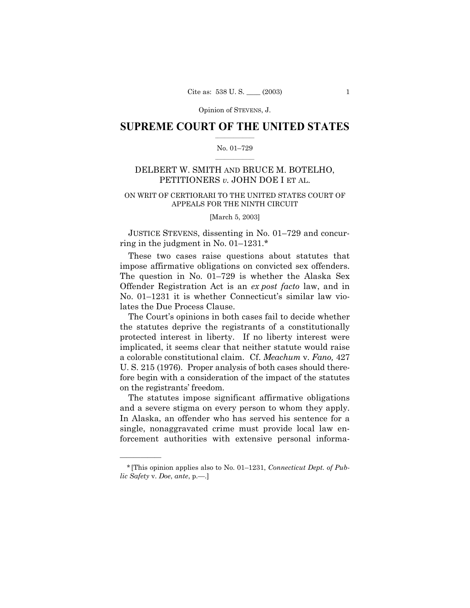## **SUPREME COURT OF THE UNITED STATES**  $\mathcal{L}=\mathcal{L}^{\mathcal{L}}$

#### No. 01-729  $\mathcal{L}=\mathcal{L}^{\mathcal{L}}$

# DELBERT W. SMITH AND BRUCE M. BOTELHO, PETITIONERS *v.* JOHN DOE I ET AL.

# ON WRIT OF CERTIORARI TO THE UNITED STATES COURT OF APPEALS FOR THE NINTH CIRCUIT

[March 5, 2003]

JUSTICE STEVENS, dissenting in No. 01–729 and concurring in the judgment in No.  $01-1231.*$ 

These two cases raise questions about statutes that impose affirmative obligations on convicted sex offenders. The question in No.  $01-729$  is whether the Alaska Sex Offender Registration Act is an *ex post facto* law, and in No.  $01-1231$  it is whether Connecticut's similar law violates the Due Process Clause.

The Court's opinions in both cases fail to decide whether the statutes deprive the registrants of a constitutionally protected interest in liberty. If no liberty interest were implicated, it seems clear that neither statute would raise a colorable constitutional claim. Cf. *Meachum* v. *Fano,* 427 U. S. 215 (1976). Proper analysis of both cases should therefore begin with a consideration of the impact of the statutes on the registrants' freedom.

The statutes impose significant affirmative obligations and a severe stigma on every person to whom they apply. In Alaska, an offender who has served his sentence for a single, nonaggravated crime must provide local law enforcement authorities with extensive personal informa-

<u>óóóóóóóóóóóóóó</u>

<sup>\* [</sup>This opinion applies also to No. 01–1231, *Connecticut Dept. of Public Safety* v. *Doe, ante, p.*—.]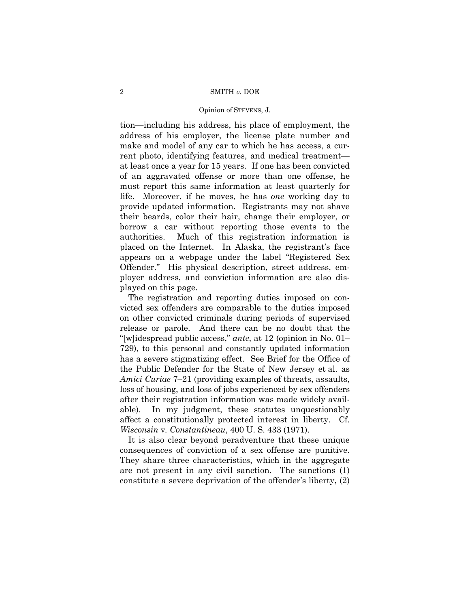#### 2 SMITH *v.* DOE

#### Opinion of STEVENS, J.

tion—including his address, his place of employment, the address of his employer, the license plate number and make and model of any car to which he has access, a current photo, identifying features, and medical treatment at least once a year for 15 years. If one has been convicted of an aggravated offense or more than one offense, he must report this same information at least quarterly for life. Moreover, if he moves, he has *one* working day to provide updated information. Registrants may not shave their beards, color their hair, change their employer, or borrow a car without reporting those events to the authorities. Much of this registration information is placed on the Internet. In Alaska, the registrant's face appears on a webpage under the label "Registered Sex Offender." His physical description, street address, employer address, and conviction information are also displayed on this page.

The registration and reporting duties imposed on convicted sex offenders are comparable to the duties imposed on other convicted criminals during periods of supervised release or parole. And there can be no doubt that the "[w]idespread public access," *ante*, at 12 (opinion in No. 01– 729), to this personal and constantly updated information has a severe stigmatizing effect. See Brief for the Office of the Public Defender for the State of New Jersey et al. as *Amici Curiae* 7–21 (providing examples of threats, assaults, loss of housing, and loss of jobs experienced by sex offenders after their registration information was made widely available). In my judgment, these statutes unquestionably affect a constitutionally protected interest in liberty. Cf. *Wisconsin* v*. Constantineau*, 400 U. S. 433 (1971).

It is also clear beyond peradventure that these unique consequences of conviction of a sex offense are punitive. They share three characteristics, which in the aggregate are not present in any civil sanction. The sanctions (1) constitute a severe deprivation of the offender's liberty,  $(2)$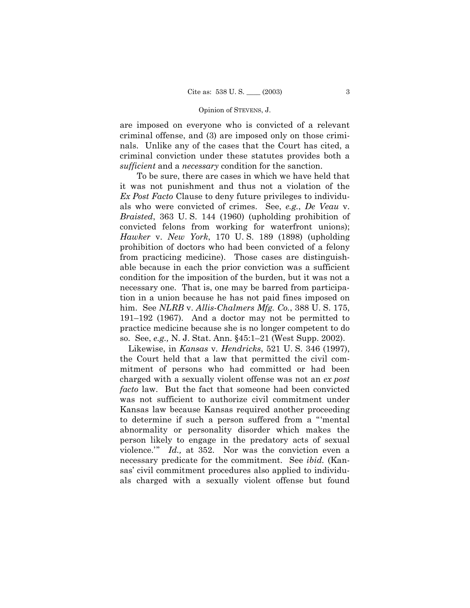are imposed on everyone who is convicted of a relevant criminal offense, and (3) are imposed only on those criminals. Unlike any of the cases that the Court has cited, a criminal conviction under these statutes provides both a *sufficient* and a *necessary* condition for the sanction.

To be sure, there are cases in which we have held that it was not punishment and thus not a violation of the *Ex Post Facto* Clause to deny future privileges to individuals who were convicted of crimes. See, *e.g.*, *De Veau* v. *Braisted*, 363 U. S. 144 (1960) (upholding prohibition of convicted felons from working for waterfront unions); *Hawker* v. *New York*, 170 U. S. 189 (1898) (upholding prohibition of doctors who had been convicted of a felony from practicing medicine). Those cases are distinguishable because in each the prior conviction was a sufficient condition for the imposition of the burden, but it was not a necessary one. That is, one may be barred from participation in a union because he has not paid fines imposed on him. See *NLRB* v. *Allis-Chalmers Mfg. Co.*, 388 U. S. 175,  $191-192$  (1967). And a doctor may not be permitted to practice medicine because she is no longer competent to do so. See, *e.g.*, N. J. Stat. Ann. §45:1–21 (West Supp. 2002).

Likewise, in *Kansas* v. *Hendricks*, 521 U. S. 346 (1997), the Court held that a law that permitted the civil commitment of persons who had committed or had been charged with a sexually violent offense was not an *ex post facto* law. But the fact that someone had been convicted was not sufficient to authorize civil commitment under Kansas law because Kansas required another proceeding to determine if such a person suffered from a "mental abnormality or personality disorder which makes the person likely to engage in the predatory acts of sexual violence.<sup>20</sup> *Id.*, at 352. Nor was the conviction even a necessary predicate for the commitment. See *ibid.* (Kansas' civil commitment procedures also applied to individuals charged with a sexually violent offense but found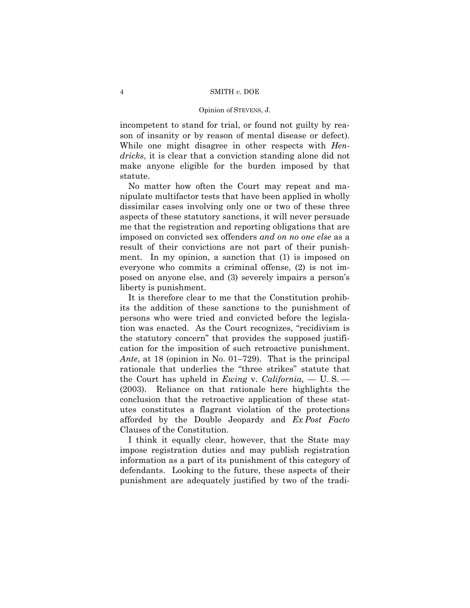incompetent to stand for trial, or found not guilty by reason of insanity or by reason of mental disease or defect). While one might disagree in other respects with *Hendricks*, it is clear that a conviction standing alone did not make anyone eligible for the burden imposed by that statute.

No matter how often the Court may repeat and manipulate multifactor tests that have been applied in wholly dissimilar cases involving only one or two of these three aspects of these statutory sanctions, it will never persuade me that the registration and reporting obligations that are imposed on convicted sex offenders *and on no one else* as a result of their convictions are not part of their punishment. In my opinion, a sanction that (1) is imposed on everyone who commits a criminal offense, (2) is not imposed on anyone else, and (3) severely impairs a person's liberty is punishment.

It is therefore clear to me that the Constitution prohibits the addition of these sanctions to the punishment of persons who were tried and convicted before the legislation was enacted. As the Court recognizes, "recidivism is the statutory concernî that provides the supposed justification for the imposition of such retroactive punishment. *Ante*, at 18 (opinion in No. 01–729). That is the principal rationale that underlies the "three strikes" statute that the Court has upheld in *Ewing* v. *California*,  $-$  U. S.  $-$ (2003). Reliance on that rationale here highlights the conclusion that the retroactive application of these statutes constitutes a flagrant violation of the protections afforded by the Double Jeopardy and *Ex Post Facto* Clauses of the Constitution.

I think it equally clear, however, that the State may impose registration duties and may publish registration information as a part of its punishment of this category of defendants. Looking to the future, these aspects of their punishment are adequately justified by two of the tradi-